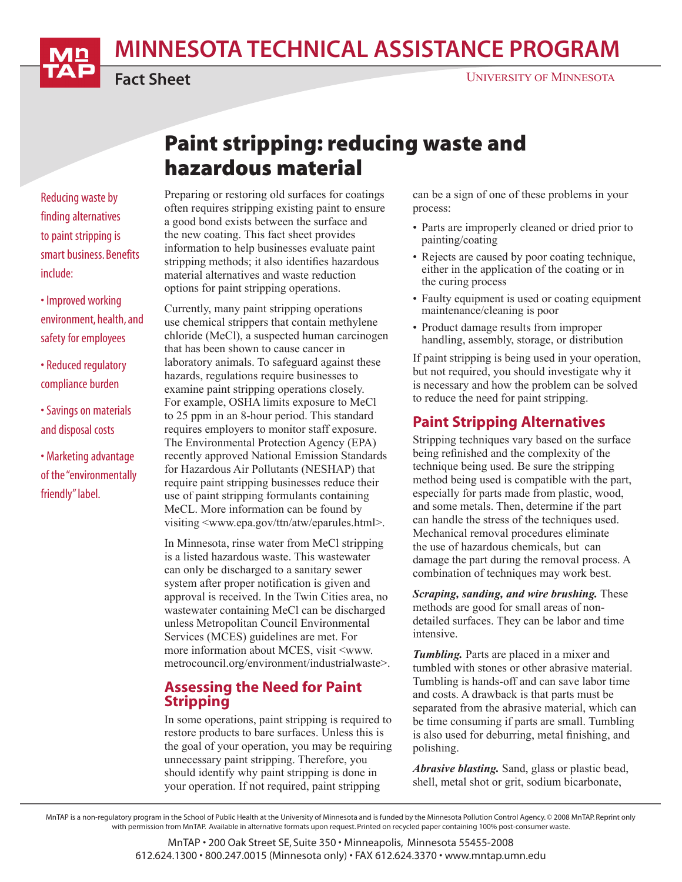MINNESOTA TECHNICAL ASSISTANCE PROGRAM



Fact Sheet

# Paint stripping: reducing waste and hazardous material

Reducing waste by finding alternatives to paint stripping is smart business. Benefits include:

• Improved working environment, health, and safety for employees

- Reduced regulatory compliance burden
- Savings on materials and disposal costs

• Marketing advantage of the "environmentally friendly" label.

#### Preparing or restoring old surfaces for coatings often requires stripping existing paint to ensure a good bond exists between the surface and the new coating. This fact sheet provides information to help businesses evaluate paint stripping methods; it also identifies hazardous material alternatives and waste reduction options for paint stripping operations.

Currently, many paint stripping operations use chemical strippers that contain methylene chloride (MeCl), a suspected human carcinogen that has been shown to cause cancer in laboratory animals. To safeguard against these hazards, regulations require businesses to examine paint stripping operations closely. For example, OSHA limits exposure to MeCl to 25 ppm in an 8-hour period. This standard requires employers to monitor staff exposure. The Environmental Protection Agency (EPA) recently approved National Emission Standards for Hazardous Air Pollutants (NESHAP) that require paint stripping businesses reduce their use of paint stripping formulants containing MeCL. More information can be found by visiting <www.epa.gov/ttn/atw/eparules.html>.

In Minnesota, rinse water from MeCl stripping is a listed hazardous waste. This wastewater can only be discharged to a sanitary sewer system after proper notification is given and approval is received. In the Twin Cities area, no wastewater containing MeCl can be discharged unless Metropolitan Council Environmental Services (MCES) guidelines are met. For more information about MCES, visit <www. metrocouncil.org/environment/industrialwaste>.

#### Assessing the Need for Paint Stripping

In some operations, paint stripping is required to restore products to bare surfaces. Unless this is the goal of your operation, you may be requiring unnecessary paint stripping. Therefore, you should identify why paint stripping is done in your operation. If not required, paint stripping

can be a sign of one of these problems in your process:

- Parts are improperly cleaned or dried prior to painting/coating
- Rejects are caused by poor coating technique, either in the application of the coating or in the curing process
- Faulty equipment is used or coating equipment maintenance/cleaning is poor
- Product damage results from improper handling, assembly, storage, or distribution

If paint stripping is being used in your operation, but not required, you should investigate why it is necessary and how the problem can be solved to reduce the need for paint stripping.

### Paint Stripping Alternatives

Stripping techniques vary based on the surface being refinished and the complexity of the technique being used. Be sure the stripping method being used is compatible with the part, especially for parts made from plastic, wood, and some metals. Then, determine if the part can handle the stress of the techniques used. Mechanical removal procedures eliminate the use of hazardous chemicals, but can damage the part during the removal process. A combination of techniques may work best.

*Scraping, sanding, and wire brushing.* These methods are good for small areas of nondetailed surfaces. They can be labor and time intensive.

*Tumbling.* Parts are placed in a mixer and tumbled with stones or other abrasive material. Tumbling is hands-off and can save labor time and costs. A drawback is that parts must be separated from the abrasive material, which can be time consuming if parts are small. Tumbling is also used for deburring, metal finishing, and polishing.

*Abrasive blasting.* Sand, glass or plastic bead, shell, metal shot or grit, sodium bicarbonate,

MnTAP is a non-regulatory program in the School of Public Health at the University of Minnesota and is funded by the Minnesota Pollution Control Agency. © 2008 MnTAP. Reprint only with permission from MnTAP. Available in alternative formats upon request. Printed on recycled paper containing 100% post-consumer waste.